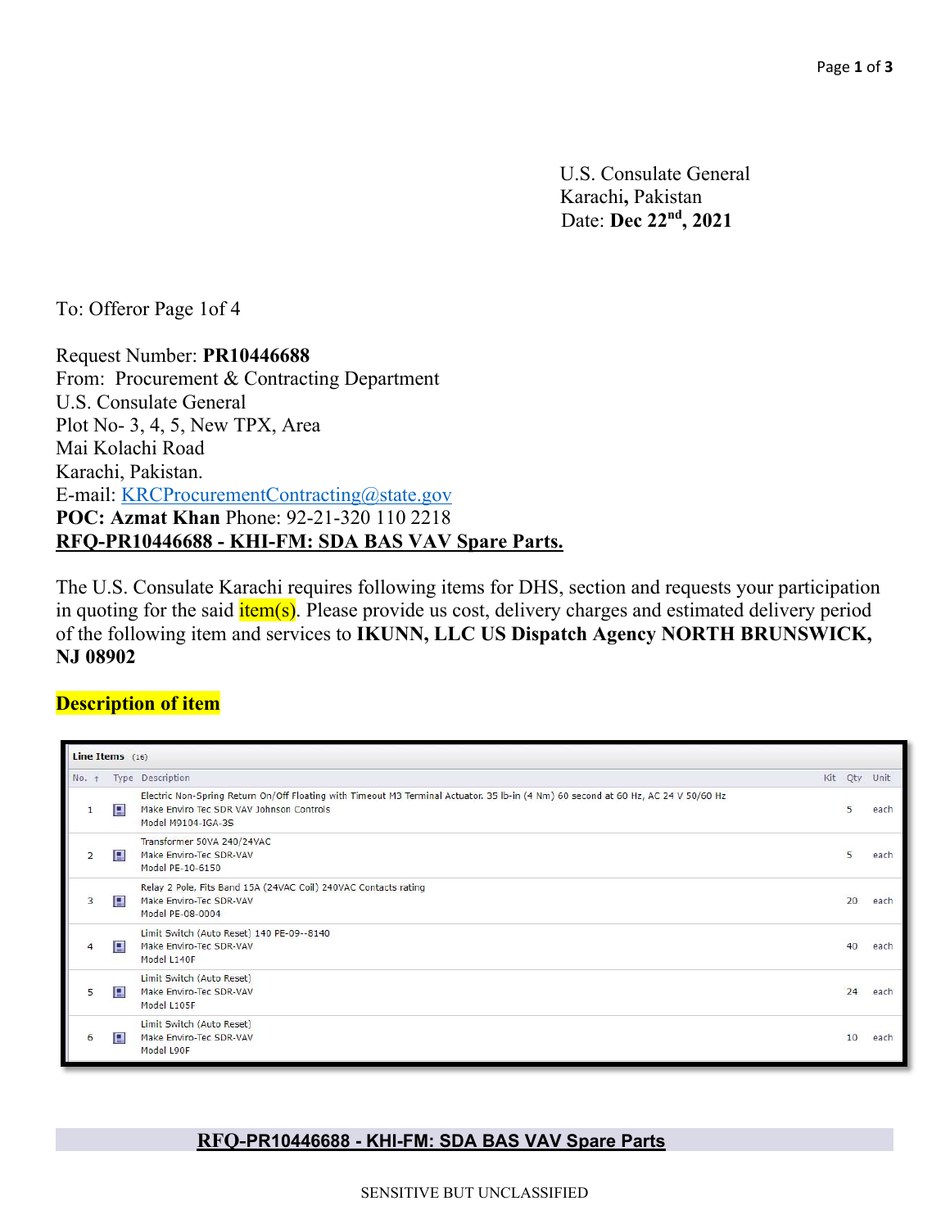U.S. Consulate General Karachi**,** Pakistan Date: **Dec 22nd, 2021**

To: Offeror Page 1of 4

Request Number: **PR10446688**  From: Procurement & Contracting Department U.S. Consulate General Plot No- 3, 4, 5, New TPX, Area Mai Kolachi Road Karachi, Pakistan. E-mail: KRCProcurementContracting@state.gov **POC: Azmat Khan** Phone: 92-21-320 110 2218 **RFQ-PR10446688 - KHI-FM: SDA BAS VAV Spare Parts.**

The U.S. Consulate Karachi requires following items for DHS, section and requests your participation in quoting for the said  $\frac{i \text{tem}(s)}{i \text{tem}(s)}$ . Please provide us cost, delivery charges and estimated delivery period of the following item and services to **IKUNN, LLC US Dispatch Agency NORTH BRUNSWICK, NJ 08902**

# **Description of item**

| Line Items $(16)$ |   |                                                                                                                                                                                                      |     |     |      |  |  |  |
|-------------------|---|------------------------------------------------------------------------------------------------------------------------------------------------------------------------------------------------------|-----|-----|------|--|--|--|
| No.               |   | Type Description                                                                                                                                                                                     | Kit | Qty | Unit |  |  |  |
| $\mathbf{1}$      | 日 | Electric Non-Spring Return On/Off Floating with Timeout M3 Terminal Actuator. 35 lb-in (4 Nm) 60 second at 60 Hz, AC 24 V 50/60 Hz<br>Make Enviro Tec SDR VAV Johnson Controls<br>Model M9104-IGA-3S |     | 5   | each |  |  |  |
| $\overline{2}$    | В | Transformer 50VA 240/24VAC<br>Make Enviro-Tec SDR-VAV<br>Model PE-10-6150                                                                                                                            |     | 5   | each |  |  |  |
| 3                 | 日 | Relay 2 Pole, Fits Band 15A (24VAC Coil) 240VAC Contacts rating<br>Make Enviro-Tec SDR-VAV<br>Model PE-08-0004                                                                                       |     | 20  | each |  |  |  |
| $\overline{4}$    | B | Limit Switch (Auto Reset) 140 PE-09--8140<br>Make Enviro-Tec SDR-VAV<br>Model L140F                                                                                                                  |     | 40  | each |  |  |  |
| 5                 | 日 | Limit Switch (Auto Reset)<br>Make Enviro-Tec SDR-VAV<br>Model L105F                                                                                                                                  |     | 24  | each |  |  |  |
| 6                 | 日 | Limit Switch (Auto Reset)<br>Make Enviro-Tec SDR-VAV<br>Model L90F                                                                                                                                   |     | 10  | each |  |  |  |

#### **RFQ-PR10446688 - KHI-FM: SDA BAS VAV Spare Parts**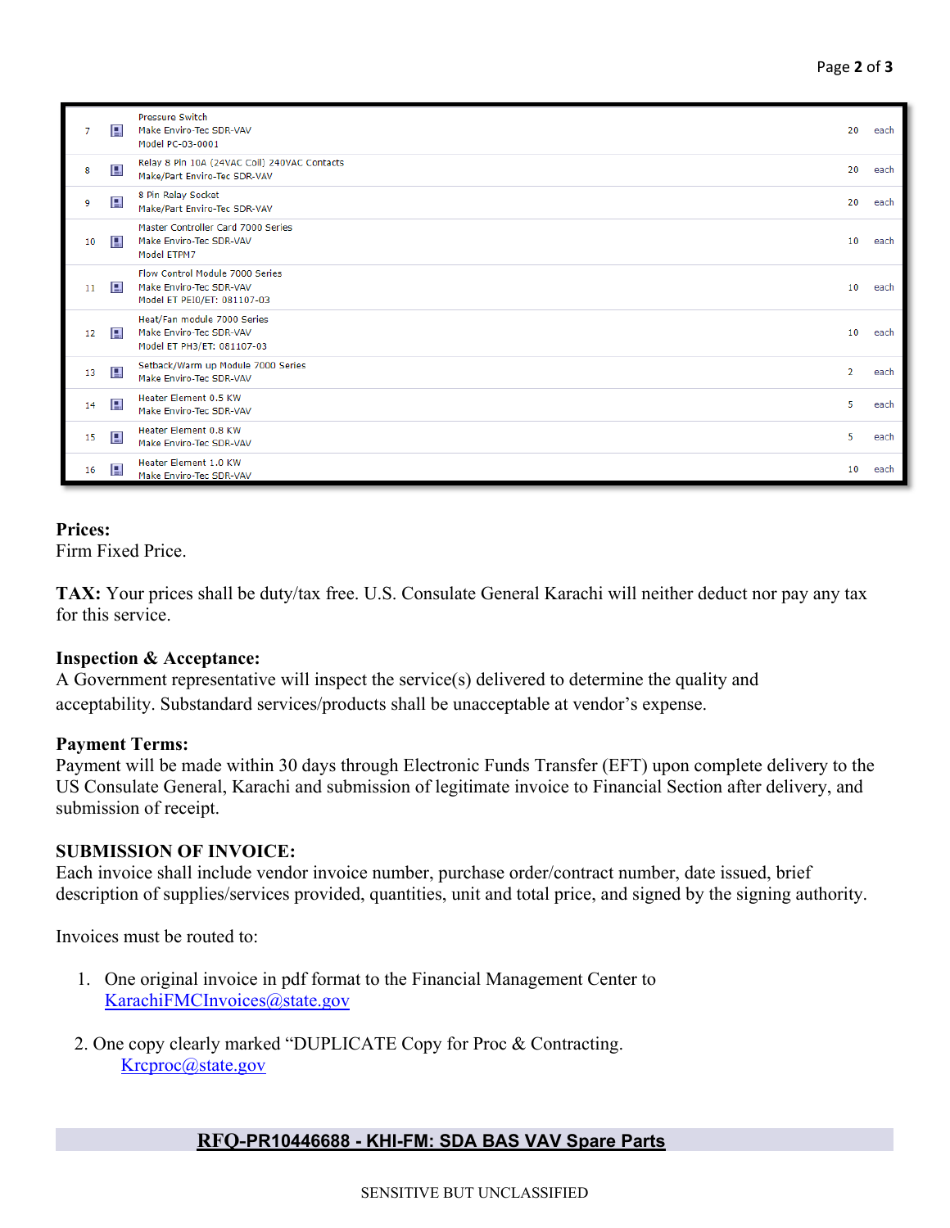|    | 日 | <b>Pressure Switch</b><br>Make Enviro-Tec SDR-VAV<br>Model PC-03-0001                     | 20             | each |
|----|---|-------------------------------------------------------------------------------------------|----------------|------|
| 8  | 日 | Relay 8 Pin 10A (24VAC Coil) 240VAC Contacts<br>Make/Part Enviro-Tec SDR-VAV              | 20             | each |
| 9  | 日 | 8 Pin Relay Socket<br>Make/Part Enviro-Tec SDR-VAV                                        | 20             | each |
| 10 | 日 | Master Controller Card 7000 Series<br>Make Enviro-Tec SDR-VAV<br>Model ETPM7              | 10             | each |
| 11 | 目 | Flow Control Module 7000 Series<br>Make Enviro-Tec SDR-VAV<br>Model ET PEI0/ET: 081107-03 | 10             | each |
| 12 | 目 | Heat/Fan module 7000 Series<br>Make Enviro-Tec SDR-VAV<br>Model ET PH3/ET: 081107-03      | 10             | each |
| 13 | 目 | Setback/Warm up Module 7000 Series<br>Make Enviro-Tec SDR-VAV                             | $\overline{2}$ | each |
| 14 | 日 | Heater Element 0.5 KW<br>Make Enviro-Tec SDR-VAV                                          | 5.             | each |
| 15 | 日 | Heater Element 0.8 KW<br>Make Enviro-Tec SDR-VAV                                          | 5.             | each |
| 16 | 日 | <b>Heater Element 1.0 KW</b><br>Make Enviro-Tec SDR-VAV                                   | 10             | each |

#### **Prices:**

Firm Fixed Price.

**TAX:** Your prices shall be duty/tax free. U.S. Consulate General Karachi will neither deduct nor pay any tax for this service.

#### **Inspection & Acceptance:**

A Government representative will inspect the service(s) delivered to determine the quality and acceptability. Substandard services/products shall be unacceptable at vendor's expense.

# **Payment Terms:**

Payment will be made within 30 days through Electronic Funds Transfer (EFT) upon complete delivery to the US Consulate General, Karachi and submission of legitimate invoice to Financial Section after delivery, and submission of receipt.

# **SUBMISSION OF INVOICE:**

Each invoice shall include vendor invoice number, purchase order/contract number, date issued, brief description of supplies/services provided, quantities, unit and total price, and signed by the signing authority.

Invoices must be routed to:

- 1. One original invoice in pdf format to the Financial Management Center to KarachiFMCInvoices@state.gov
- 2. One copy clearly marked "DUPLICATE Copy for Proc & Contracting. Krcproc@state.gov

# **RFQ-PR10446688 - KHI-FM: SDA BAS VAV Spare Parts**